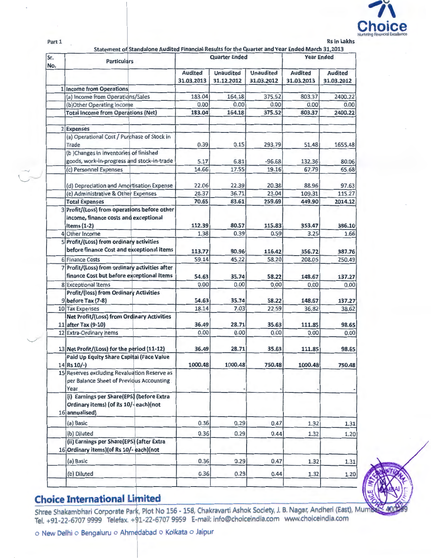

Part 1

 $2012$ 

| Sr.<br>No. | <b>Particulars</b>                                                                               |                              | <b>Quarter Ended</b>           | <b>Year Ended</b>              |                              |                              |
|------------|--------------------------------------------------------------------------------------------------|------------------------------|--------------------------------|--------------------------------|------------------------------|------------------------------|
|            |                                                                                                  | <b>Audited</b><br>31.03.2013 | <b>Unaudited</b><br>31.12.2012 | <b>Unaudited</b><br>31.03.2012 | <b>Audited</b><br>31.03.2013 | <b>Audited</b><br>31.03.2012 |
|            | 1 Income from Operations                                                                         |                              |                                |                                |                              |                              |
|            | (a) Income from Operations/Sales                                                                 | 183.04                       | 164.18                         | 375.52                         | 803.37                       | 2400.22                      |
|            | (b)Other Operating Income                                                                        | 0.00                         | 0.00                           | 0.00                           | 0.00                         | 0.00                         |
|            | <b>Total Income from Operations (Net)</b>                                                        | 183.04                       | 164.18                         | 375.52                         | 803.37                       | 2400.22                      |
|            |                                                                                                  |                              |                                |                                |                              |                              |
|            | 2 Expenses                                                                                       |                              |                                |                                |                              |                              |
|            | (a) Operational Cost / Purchase of Stock in                                                      |                              |                                |                                |                              |                              |
|            | Trade                                                                                            | 0.39                         | 0.15                           | 293.79                         | 51.48                        | 1655.48                      |
|            | (b) Changes in inventories of finished                                                           |                              |                                |                                |                              |                              |
|            | goods, work-in-progress and stock-in-trade                                                       | 5.17                         | 6.81                           | $-96.68$                       | 132.36                       | 80.06                        |
|            | (c) Personnel Expenses                                                                           | 14.66                        | 17.55                          | 19.16                          | 67.79                        | 65.68                        |
|            | (d) Depreciation and Amortisation Expense                                                        | 22.06                        | 22.39                          | 20.38                          | 88.96                        | 97.63                        |
|            | (e) Administrative & Other Expenses                                                              | 28.37                        | 36.71                          | 23.04                          | 109.31                       | 115.27                       |
|            | <b>Total Expenses</b>                                                                            | 70.65                        | 83.61                          | 259.69                         | 449.90                       | 2014.12                      |
|            | 3 Profit/(Loss) from operations before other<br>income, finance costs and exceptional            |                              |                                |                                |                              |                              |
|            | Items $(1-2)$                                                                                    | 112.39                       | 80.57                          | 115.83                         | 353.47                       | 386.10                       |
|            | 4 Other Income                                                                                   | 1.38                         | 0.39                           | 0.59                           | 3.25                         | 1.66                         |
|            | 5 Profit/(Loss) from ordinary activities                                                         |                              |                                |                                |                              |                              |
|            | before finance Cost and exceptional items                                                        | 113.77                       | 80.96                          | 116.42                         |                              |                              |
|            | 6 Finance Costs                                                                                  | 59.14                        | 45.22                          | 58.20                          | 356.72<br>208.05             | 387.76<br>250.49             |
|            | Profit/(Loss) from ordinary activities after                                                     |                              |                                |                                |                              |                              |
|            | finance Cost but before exceptional Items                                                        |                              |                                |                                |                              |                              |
|            |                                                                                                  | 54.63                        | 35.74                          | 58.22                          | 148.67                       | 137.27                       |
|            | 8 Exceptional Items                                                                              | 0.00                         | 0.00                           | 0.00                           | 0.00                         | 0.00                         |
|            | <b>Profit/(loss) from Ordinary Activities</b>                                                    |                              |                                |                                |                              |                              |
|            | 9 before Tax (7-8)                                                                               | 54.63                        | 35.74                          | 58.22                          | 148.67                       | 137.27                       |
|            | 10 Tax Expenses                                                                                  | 18.14                        | 7.03                           | 22.59                          | 36.82                        | 38.62                        |
|            | Net Profit/(Loss) from Ordinary Activities<br>11 after Tax (9-10)                                | 36.49                        | 28.71                          |                                |                              |                              |
|            | 12 Extra-Ordinary Items                                                                          | 0.00                         | 0.00                           | 35.63<br>0.00                  | 111.85<br>0.00               | 98.65<br>0.00                |
|            |                                                                                                  |                              |                                |                                |                              |                              |
|            | 13 Net Profit/(Loss) for the period (11-12)                                                      | 36.49                        | 28.71                          | 35.63                          | 111.85                       | 98.65                        |
|            | <b>Paid Up Equity Share Capital (Face Value</b>                                                  |                              |                                |                                |                              |                              |
|            | 14 Rs 10/-)                                                                                      | 1000.48                      | 1000.48                        | 750.48                         | 1000.48                      | 750.48                       |
|            | 15 Reserves excluding Revaluation Reserve as<br>per Balance Sheet of Previous Accounting<br>Year |                              |                                |                                |                              |                              |
|            | (i) Earnings per Share(EPS) (before Extra                                                        |                              |                                |                                |                              |                              |
|            | Ordinary items) (of Rs 10/-each) (not                                                            |                              |                                |                                |                              |                              |
|            | 16 annualised)                                                                                   |                              |                                |                                |                              |                              |
|            | (a) Basic                                                                                        | 0.36                         | 0.29                           | 0.47                           | 1.32                         | 1.31                         |
|            | (b) Diluted                                                                                      | 0.36                         | 0.29                           | 0.44                           | 1.32                         | 1.20                         |
|            | (ii) Earnings per Share(EPS) (after Extra                                                        |                              |                                |                                |                              |                              |
|            | 16 Ordinary items) (of Rs 10/- each) (not                                                        |                              |                                |                                |                              |                              |
|            | (a) Basic                                                                                        | 0.36                         | 0.29                           | 0.47                           | 1.32                         | 1.31                         |
|            | (b) Diluted                                                                                      | 0.36                         | 0.29                           | 0.44                           | 1.32                         | 1.20                         |
|            |                                                                                                  |                              |                                |                                |                              |                              |

## **Choice International Limited**

Shree Shakambhari Corporate Park, Plot No 156 - 158, Chakravarti Ashok Society, J. B. Nagar, Andheri (East), Mumbo<br>Tel. +91-22-6707 9999 Telefax. +91-22-6707 9959 E-mail: info@choiceindia.com www.choiceindia.com

o New Delhi o Bengaluru o Ahmedabad o Kolkata o Jaipur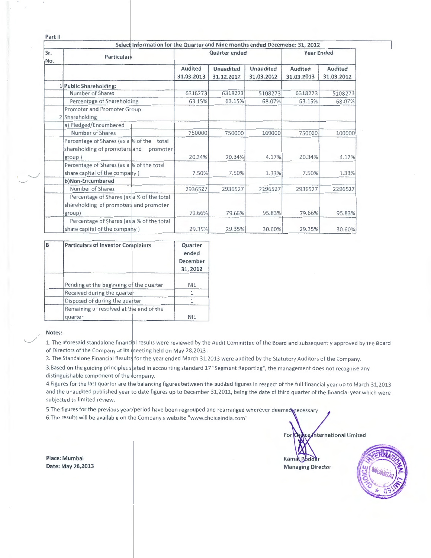| Part II    |                                                                                                  |                              |                         |                         |                       |                       |
|------------|--------------------------------------------------------------------------------------------------|------------------------------|-------------------------|-------------------------|-----------------------|-----------------------|
|            | Select Information for the Quarter and Nine months ended Decemeber 31, 2012                      |                              |                         |                         |                       |                       |
| Sr.<br>No. | <b>Particulars</b>                                                                               | Quarter ended                |                         |                         | <b>Year Ended</b>     |                       |
|            |                                                                                                  | <b>Audited</b><br>31.03.2013 | Unaudited<br>31.12.2012 | Unaudited<br>31.03.2012 | Audited<br>31.03.2013 | Audited<br>31.03.2012 |
|            | 1 Public Shareholding:                                                                           |                              |                         |                         |                       |                       |
|            | Number of Shares                                                                                 | 6318273                      | 6318273                 | 5108273                 | 6318273               | 5108273               |
|            | Percentage of Shareholding                                                                       | 63.15%                       | 63.15%                  | 68.07%                  | 63.15%                | 68.07%                |
|            | Promoter and Promoter Group<br>2 Shareholding                                                    |                              |                         |                         |                       |                       |
|            | a) Pledged/Encumbered                                                                            |                              |                         |                         |                       |                       |
|            | Number of Shares                                                                                 | 750000                       | 750000                  | 100000                  | 750000                | 100000                |
|            | Percentage of Shares (as a % of the total<br>shareholding of promoters and<br>promoter<br>group) | 20.34%                       | 20.34%                  | 4.17%                   | 20.34%                | 4.17%                 |
|            | Percentage of Shares (as a % of the total<br>share capital of the company)                       | 7.50%                        | 7.50%                   | 1.33%                   | 7.50%                 | 1.33%                 |
|            | b)Non-Encumbered                                                                                 |                              |                         |                         |                       |                       |
|            | Number of Shares                                                                                 | 2936527                      | 2936527                 | 2296527                 | 2936527               | 2296527               |
|            | Percentage of Shares (as a % of the total<br>shareholding of promoters and promoter<br>group)    | 79.66%                       | 79.66%                  | 95.83%                  | 79.66%                | 95.83%                |
|            | Percentage of Shares (as a % of the total<br>share capital of the company)                       | 29.35%                       | 29.35%                  | 30.60%                  | 29.35%                | 30.60%                |

| B | <b>Particulars of Investor Complaints</b>         | Quarter<br>ended<br>December<br>31, 2012 |  |
|---|---------------------------------------------------|------------------------------------------|--|
|   | Pending at the beginning of the quarter           | <b>NIL</b>                               |  |
|   | Received during the quarter                       |                                          |  |
|   | Disposed of during the quarter                    |                                          |  |
|   | Remaining unresolved at the end of the<br>quarter | <b>NIL</b>                               |  |

#### Notes:

./  $\overline{\phantom{a}}$ 

 $\sim$   $\sim$ 

1. The aforesaid standalone financial results were reviewed by the Audit Committee of the Board and subsequently approved by the Board of Directors of the Company at its meeting held on May 28,2013.

2. The Standalone Financial Results for the year ended March 31,2013 were audited by the Statutory Auditors of the Company.

3.Based on the guiding principles stated in accounting standard 17 "Segment Reporting", the management does not recognise any distinguishable component of the company.

4. Figures for the last quarter are the balancing figures between the audited figures in respect of the full financial year up to March 31,2013 and the unaudited published year to date figures up to December 31,2012, being the date of third quarter of the financial year which were subjected to limited review.

5. The figures for the previous year/period have been regrouped and rearranged wherever deemed necessary 6. The results will be available on the Company's website "www.choiceindia.com"

> For Choice International Limited Kama Poddar Managing D



Place: Mumbai Date: May 28,2013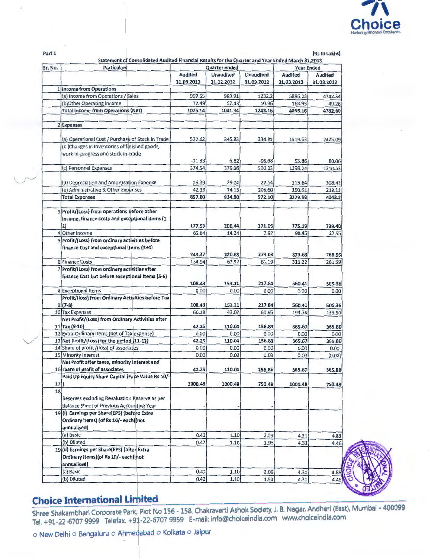

(Rs In Lakhs)

| Sr. No. | Statement of Consolidated Audited Financial Results for the Quarter and Year Ended March 31,2013<br><b>Particulars</b> |                | <b>Quarter ended</b> |                  | <b>Year Ended</b> |                |
|---------|------------------------------------------------------------------------------------------------------------------------|----------------|----------------------|------------------|-------------------|----------------|
|         |                                                                                                                        | <b>Audited</b> | <b>Unaudited</b>     | <b>Unaudited</b> | <b>Audited</b>    | <b>Audited</b> |
|         |                                                                                                                        | 31.03.2013     | 31.12.2012           | 31.03.2012       | 31.03.2013        | 31.03.2012     |
|         | 1 Income from Operations                                                                                               |                |                      |                  |                   |                |
|         | (a) Income from Operations / Sales                                                                                     | 997.65         | 983.91               | 1232.2           | 3886.23           | 4742.34        |
|         | (b)Other Operating Income                                                                                              | 77.49          | 57.43                | 10.96            | 168.93            | 40.26          |
|         | <b>Total Income from Operations (Net)</b>                                                                              | 1075.14        | 1041.34              | 1243.16          | 4055.16           | 4782.60        |
|         | 2 Expenses                                                                                                             |                |                      |                  |                   |                |
|         | (a) Operational Cost / Purchase of Stock in Trade                                                                      | 522.62         | 345.83               | 334.81           | 1519.63           | 2425.09        |
|         | (b) Changes in inventories of finished goods,                                                                          |                |                      |                  |                   |                |
|         | work-in-progress and stock-in-trade                                                                                    |                |                      |                  |                   |                |
|         |                                                                                                                        | $-71.33$       | 6.82                 | $-96.68$         | 55.86             | 80.06          |
|         | (c) Personnel Expenses                                                                                                 | 374.54         | 379.06               | 500.23           | 1398.24           | 1210.53        |
|         |                                                                                                                        |                |                      |                  |                   |                |
|         | (d) Depreciation and Amortisation Expense                                                                              | 29.39          | 29.04                | 27.14            | 115.64            | 108.41         |
|         | (e) Administrative & Other Expenses                                                                                    | 42.38          | 74.15                | 206.60           | 190.61            | 219.11         |
|         | <b>Total Expenses</b>                                                                                                  | 897.60         | 834.90               | 972.10           | 3279.98           | 4043.2         |
|         | 3 Profit/(Loss) from operations before other                                                                           |                |                      |                  |                   |                |
|         | income, finance costs and exceptional Items (1-                                                                        |                |                      |                  |                   |                |
|         | 2)                                                                                                                     | 177.53         | 206.44               | 271.06           | 775.18            | 739.40         |
|         | 4 Other Income                                                                                                         | 65.84          | 14.24                | 7.97             | 98.45             | 27.55          |
|         | 5 Profit/(Loss) from ordinary activities before                                                                        |                |                      |                  |                   |                |
|         | finance Cost and exceptional items (3+4)                                                                               |                |                      |                  |                   |                |
|         |                                                                                                                        | 243.37         | 220.68               | 279.03           | 873.63            | 766.95         |
|         | 6 Finance Costs                                                                                                        | 134.94         | 67.57                | 61.19            | 313.22            | 261.59         |
|         | 7 Profit/(Loss) from ordinary activities after                                                                         |                |                      |                  |                   |                |
|         | finance Cost but before exceptional Items (5-6)                                                                        |                |                      |                  |                   |                |
|         |                                                                                                                        | 108.43         | 153.11               | 217.84           | 560.41            | 505.36         |
|         | 8 Exceptional Items                                                                                                    | 0.00           | 0.00                 | 0.00             | 0.00              | 0.00           |
|         | Profit/(loss) from Ordinary Activities before Tax                                                                      |                |                      |                  |                   |                |
|         | $9(7-8)$                                                                                                               | 108.43         | 153.11               | 217.84           | 560.41            | 505.36         |
|         | 10 Tax Expenses                                                                                                        | 66.18          | 43.07                | 60.95            | 194.74            | 139.50         |
|         | Net Profit/(Loss) from Ordinary Activities after<br>11 Tax (9-10)                                                      | 42.25          | 110.04               | 156.89           | 365.67            | 365.86         |
|         | 12 Extra-Ordinary Items (net of Tax expense)                                                                           | 0.00           | 0.00                 | 0.00             | 0.00              | 0.00           |
|         | 13 Net Profit/(Loss) for the period (11-12)                                                                            | 42.25          | 110.04               | 156.89           | 365.67            | 365.86         |
|         | 14 Share of profit /(loss) of associates                                                                               | 0.00           | 0.00                 | 0.00             | 0.00              | 0.00           |
|         | 15 Minority Interest                                                                                                   | 0.00           | 0.00                 | 0.03             | 0.00              | (0.02)         |
|         | Net Profit after taxes, minority interest and<br>16 share of profit of associates                                      | 42.25          | 110.04               | 156.86           | 365.67            | 365.88         |
|         | Paid Up Equity Share Capital (Face Value Rs 10/-                                                                       |                |                      |                  |                   |                |
| $17$ )  |                                                                                                                        | 1000.48        | 1000.48              | 750.48           | 1000.48           | 750.48         |
| 18      |                                                                                                                        |                |                      |                  |                   |                |
|         | Reserves excluding Revaluation Reserve as per                                                                          |                |                      |                  |                   |                |
|         | <b>Balance Sheet of Previous Accounting Year</b>                                                                       |                |                      |                  |                   |                |
|         | 19(i) Earnings per Share(EPS) (before Extra                                                                            |                |                      |                  |                   |                |
|         | Ordinary items) (of Rs 10/- each) (not                                                                                 |                |                      |                  |                   |                |
|         | annualised)                                                                                                            |                |                      |                  |                   |                |
|         | (a) Basic                                                                                                              | 0.42           | 1.10                 | 2.09             | 4.31              | 4.88           |
|         | (b) Diluted                                                                                                            | 0.42           | 1.10                 | 1.93             | 4.31              | 4.46           |
|         | 19 (ii) Earnings per Share(EPS) (after Extra                                                                           |                |                      |                  |                   |                |
|         | Ordinary items) (of Rs 10/- each) (not                                                                                 |                |                      |                  |                   |                |
|         | annualised)                                                                                                            |                |                      |                  |                   |                |
|         |                                                                                                                        |                |                      |                  |                   |                |
|         | (a) Basic                                                                                                              | 0.42           | 1.10                 | 2.09             | 4.31              | 4.88           |
|         | (b) Diluted                                                                                                            | 0.42           | 1.10                 | 1.93             | 4.31              | 4.46           |



# **Choice International Limited**

Shree Shakambhari Corporate Park, Plot No 156 - 158, Chakravarti Ashok Society, J. B. Nagar, Andheri (East), Mumbai - 400099<br>Tel. +91-22-6707 9999 Telefax. +91-22-6707 9959 E-mail: info@choiceindia.com www.choiceindia.com

o New Delhi o Bengaluru o Ahmedabad o Kolkata o Jaipur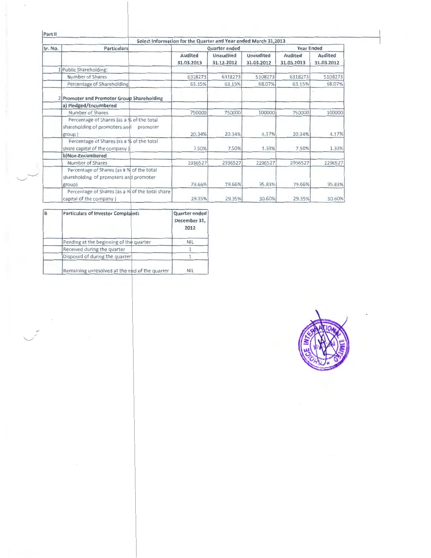| Part II |                                                                                                  |                              |                                |                                |                              |                       |
|---------|--------------------------------------------------------------------------------------------------|------------------------------|--------------------------------|--------------------------------|------------------------------|-----------------------|
|         | Select Information for the Quarter and Year ended March 31,2013                                  |                              |                                |                                |                              |                       |
| Sr. No. | <b>Particulars</b>                                                                               |                              | Quarter ended                  |                                | <b>Year Ended</b>            |                       |
|         |                                                                                                  | <b>Audited</b><br>31.03.2013 | <b>Unaudited</b><br>31.12.2012 | <b>Unaudited</b><br>31.03.2012 | <b>Audited</b><br>31.03.2013 | Audited<br>31.03.2012 |
|         | 1 Public Shareholding:                                                                           |                              |                                |                                |                              |                       |
|         | Number of Shares                                                                                 | 6318273                      | 6318273                        | 5108273                        | 6318273                      | 5108273               |
|         | Percentage of Shareholding                                                                       | 63.15%                       | 63.15%                         | 68.07%                         | 63.15%                       | 68.07%                |
|         | 2 Promoter and Promoter Group Shareholding                                                       |                              |                                |                                |                              |                       |
|         | a) Pledged/Encumbered                                                                            |                              |                                |                                |                              |                       |
|         | Number of Shares                                                                                 | 750000                       | 750000                         | 100000                         | 750000                       | 100000                |
|         | Percentage of Shares (as a % of the total<br>shareholding of promoters and<br>promoter<br>group) | 20.34%                       | 20.34%                         | 4.17%                          | 20.34%                       | 4.17%                 |
|         | Percentage of Shares (as a % of the total<br>share capital of the company)                       | 7.50%                        | 7.50%                          | 1.33%                          | 7.50%                        | 1.33%                 |
|         | b)Non-Encumbered                                                                                 |                              |                                |                                |                              |                       |
|         | Number of Shares                                                                                 | 2936527                      | 2936527                        | 2296527                        | 2936527                      | 2296527               |
|         | Percentage of Shares (as a % of the total<br>shareholding of promoters and promoter<br>group)    | 79.66%                       | 79.66%                         | 95.83%                         | 79.66%                       | 95.83%                |
|         | Percentage of Shares (as a % of the total share<br>capital of the company)                       | 29.35%                       | 29.35%                         | 30.60%                         | 29.35%                       | 30.60%                |

| B | <b>Particulars of Investor Complaints</b>      | Quarter ended<br>December 31,<br>2012 |
|---|------------------------------------------------|---------------------------------------|
|   | Pending at the beginning of the quarter        | <b>NIL</b>                            |
|   | Received during the quarter                    |                                       |
|   | Disposed of during the quarter                 |                                       |
|   | Remaining unresolved at the end of the quarter | <b>NIL</b>                            |

 $\overline{\phantom{a}}$  $\overline{\phantom{a}}$ 

 $\overline{\phantom{a}}$ 

 $\mathcal{S}$ 

 $\mathcal{S}_{\mathcal{S}}$ 



 $\mathbf{I}$ I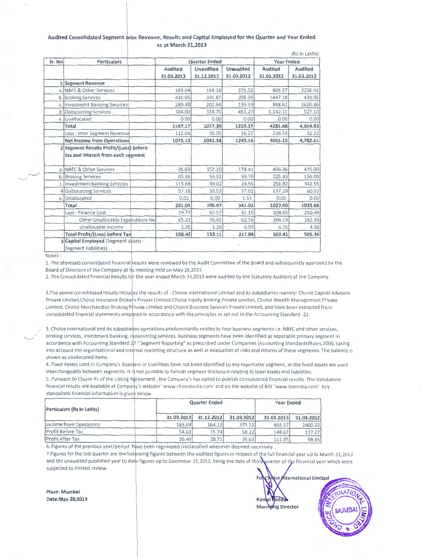#### Audited Consolidated Segment wise Revenue, Results and Capital Employed for the Quarter and Year Ended as at March 31,2013

|        |                                                                              |                |                      |                  |                   | (Rs in Lakhs) |
|--------|------------------------------------------------------------------------------|----------------|----------------------|------------------|-------------------|---------------|
| Sr. No | <b>Particulars</b>                                                           |                | <b>Quarter Ended</b> |                  | <b>Year Ended</b> |               |
|        |                                                                              | <b>Audited</b> | Unaudited            | <b>Unaudited</b> | Audited           | Audited       |
|        |                                                                              | 31.03.2013     | 31.12.2012           | 31.03.2012       | 31.03.2013        | 31.03.2012    |
|        | 1 Segment Revenue                                                            |                |                      |                  |                   |               |
|        | a. NBFC & Other Services                                                     | 183.04         | 164.18               | 375.52           | 803.37            | 2226.92       |
|        | b. Broking Services                                                          | 410.65         | 391.87               | 298.99           | 1447.18           | 439.95        |
|        | c. Investment Banking Services                                               | 289.48         | 202.64               | 133.59           | 888.62            | 1620.86       |
| d.     | <b>Outsourcing Services</b>                                                  | 304.00         | 318.70               | 451.27           | 1,142.31          | 527.10        |
|        | e. Unallocated                                                               | 0.00           | 0.00                 | 0.00             | 0.00              | 0.00          |
|        | Total                                                                        | 1187.17        | 1077.39              | 1259.37          | 4281.48           | 4,814.83      |
|        | Less : Inter Segment Revenue                                                 | 112.04         | 36.05                | 16.21            | 226.33            | 32.22         |
|        | <b>Net Income from Operations</b>                                            | 1075.13        | 1041.34              | 1243.16          | 4055.15           | 4,782.61      |
|        | 2 Segment Results Profit/(Loss) before<br>tax and interest from each segment |                |                      |                  |                   |               |
|        | a. NBFC & Other Services                                                     | $-35.69$       | 157.20               | 178.41           | 406.36            | 475.00        |
|        | b. Broking Services                                                          | 65.86          | 56.32                | 99.70            | 225.43            | 156.00        |
|        | c. Investment Banking Services                                               | 113.68         | 49.02                | 24.56            | 258.82            | 342.55        |
|        | 4 Outsourcing Services                                                       | 57.18          | 33.53                | 37.02            | 137.29            | 60.33         |
|        | e. Unallocated                                                               | 0.02           | 0.00                 | 1.33             | 0.00              | 0.00          |
|        | Total                                                                        | 201.05         | 296.07               | 341.02           | 1027.90           | 1033.88       |
|        | Less : Finance Cost                                                          | 29.77          | 67.57                | 61.19            | 208.05            | 250.49        |
|        | Other Unallocable Expenditure Ne                                             | 65.21          | 76.65                | 62.58            | 266.19            | 282.39        |
|        | Unallocable Income                                                           | 2.35           | 1.26                 | 0.59             | 6.75              | 4.36          |
|        | <b>Total Profit/(Loss) before Tax</b>                                        | 108.42         | 153.11               | 217.84           | 560.41            | 505.36        |
|        | 3 Capital Employed (Segment assets -<br>Segment liabilities)                 |                |                      |                  |                   |               |

Notes:

1. The aforesaid consolidated financial results were reviewed by the Audit Committee of the Board and subsequently approved by the Board of Directors of the Company at its meeting held on May 28,2013.

2. The Consolidated Financial Results for the year ended March 31,2013 were audited by the Statutory Auditors of the Company.

3. The above consolidated results includes the results of : Choice International Limited and its subsidiaries namely: Choice Capital Advisors Private Limited, Choice Insurance Broke's Private Limited, Choice Equity Broking Private Limited, Choice Wealth Management Private Limited, Choice Merchandise Broking Private Limited and Choice Business Services Private Limited, and have been extracted from consolidated financial statements prepared in accordance with the principles as set out in the Accounting Standard -21.

3. Choice International and its subsidiaries operations predominantly relates to four business segments i.e. NBFC and other services, broking services, investment banking, outsourcing services. Business segments have been identified as seperable primary segment in accordance with Accounting Standard 17" Segment Reporting" as prescribed under Companies (Accounting Standards)Rules, 2006, taking into account the organisational and internal reporting structure as well as evaluation of risks and returns of these segments. The balance is shown as unallocated items.

4. Fixed Assets used in Company's Business or Liabilities have not been identified to any reportable segment, as the fixed assets are used interchangeably between segments. It is not possible to furnish segment disclosure relating to total assets and liabilities.

5. Pursuant to Clause 41 of the Listing Agreement, the Company's has opted to publish consolidated financial results. The standalone financial results are available at Company's website ' www.choiceindia.com' and on the website of BSE 'www.bseindia.com'. Key standalone financial information is given below.

| Particulars (Rs in Lakhs) |            | <b>Quarter Ended</b> |            |            |            |  |
|---------------------------|------------|----------------------|------------|------------|------------|--|
|                           | 31.03.2013 | 31.12.2012           | 31.03.2012 | 31.03.2013 | 31.03.2012 |  |
| Income from Operations    | 183.04     | 164.18               | 375.52     | 803.37     | 2400.22    |  |
| Profit Before Tax         | 54.63      | 35.74                | 58.22      | 148.67     | 137.27     |  |
| Profit After Tax          | 36.49      | 28.71                | 35.63      | 111.85     | 98.65      |  |

6. Figures of the previous year/period have been regrouped /reclassified wherever deemed necessary.

7. Figures for the last quarter are the balancing figures between the audited figures in respect of the full financial year up to March 31,2013 and the unaudited published year to date figures up to December 31,2012, being the date of third quarter of the financial year which were subjected to limited review.

Place: Mumbai Date: May 28, 2013

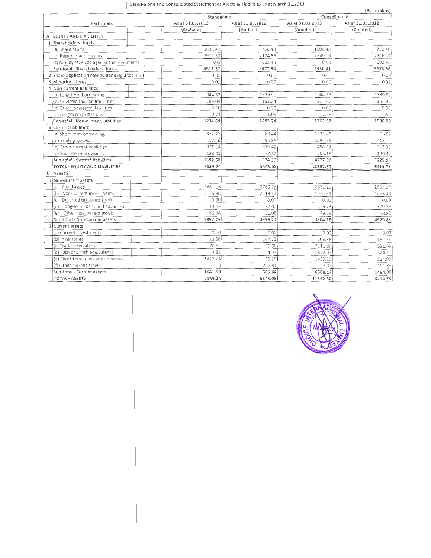#### Stand-alone and Consolidated Statement of Assets & Liabilities as at March 31,2013

|                                             | Standalone       |                  | Consolidated     | (Rs in Lakhs)    |
|---------------------------------------------|------------------|------------------|------------------|------------------|
| Particulars                                 | As at 31.03.2013 | As at 31.03.2012 | As at 31.03.2013 | As at 31.03.2012 |
|                                             | (Audited)        | (Audited)        | (Audited)        | (Audited)        |
| A EQUITY AND LIABILITIES                    |                  |                  |                  |                  |
| 1 Shareholders' funds                       |                  |                  |                  |                  |
| (a) Share capital                           | 1000.48          | 750.48           | 1000.48          | 750.48           |
| (b) Reserves and surplus                    | 3911.39          | 2124.58          | 4349.93          | 2326.00          |
| (c) Money received against share warrants   | 0.00             | 602.48           | 0.00             | 602.48           |
| Sub-total - Shareholders' funds             | 4911.87          | 3477.54          | 5350.41          | 3678.96          |
| 2 Share application money pending allotment | 0.00             | 0.00             | 0.00             | 0.00             |
| 3 Minority interest                         | 0.00             | 0.00             | 0.00             | 0.92             |
| 4 Non-current liabilities                   |                  |                  |                  |                  |
| (a) Long-term borrowings                    | 1044.87          | 1339.91          | 1044.87          | 1339.91          |
| (b) Deferred tax liabilities (net)          | 189.08           | 152.24           | 211.07           | 164.47           |
| (c) Other long-term liabilities             | 0.00             | 0.00             | 0.00             | 0.00             |
| (d) Long-term provisions                    | 0.74             | 1.09             | 7.98             | 4.52             |
| Sub-total - Non-current liabilities         | 1234.69          | 1493.24          | 1263.92          | 1508.90          |
| 5 Current liabilities                       |                  |                  |                  |                  |
| (a) Short-term borrowings                   | 872.27           | 80.44            | 1521.48          | 306.98           |
| (b) Trade payables                          | 17.26            | 95.86            | 2594.76          | 415.14           |
| (c) Other current liabilities               | 375.14           | 320.48           | 456.58           | 363.39           |
| (d) Short-term provisions                   | 128.01           | 77.52            | 205.15           | 140.44           |
| Sub-total - Current liabilities             | 1392.68          | 574.30           | 4777.97          | 1225.95          |
| TOTAL - EQUITY AND LIABILITIES              | 7539.24          | 5545.08          | 11392.30         | 6414.73          |
| <b>B</b> ASSETS                             |                  |                  |                  |                  |
| 1 Non-current assets                        |                  |                  |                  |                  |
| (a) Fixed assets                            | 2681.18          | 2766.76          | 2831.29          | 2897.29          |
| (b) Non-Current Investments                 | 3136.98          | 2119.37          | 1534.31          | 1673.43          |
| (c) Deferred tax assets (net)               | 0.00             | 0.00             | 0.00             | 0.00             |
| (d) Long-term loans and advances            | 13.04            | 22.03            | 359.29           | 300.29           |
| (e) Other non-current assets                | 66.54            | 51.08            | 79.29            | 58.82            |
| Sub-total - Non-current assets              | 5897.74          | 4959.24          | 4804.18          | 4929.83          |
| 2 Current assets                            |                  |                  |                  |                  |
| (a) Current investments                     | 0.00             | 0.00             | 0.00             | 0.00             |
| (b) Inventories                             | 30.36            | 162.73           | 106.86           | 162.73           |
| (c) Trade receivables                       | 176.62           | 85.08            | 3111.66          | 591.68           |
| (d) Cash and cash equivalents               | 4.88             | 4.97             | 1872.07          | 324.21           |
| (e) Short-term loans and advances           | 1429.64          | 35.25            | 1450.20          | 214.93           |
| (f) Other current assets                    | 0                | 297.81           | 47.33            | 191.35           |
| Sub-total - Current assets                  | 1641.50          | 585.84           | 6588.12          | 1484.90          |
| <b>TOTAL - ASSETS</b>                       | 7539.24          | 5545.08          | 11392.30         | 6414.73          |

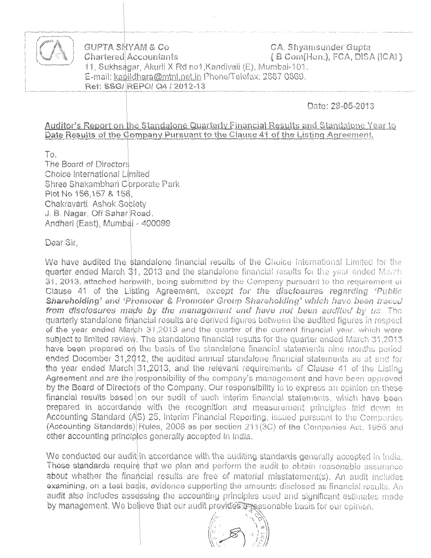

GUPTA SHYAM & Co **CA. Shyamsunder Gupta** Chartered Accountants  $\{B$  Com(Hon.), FCA, DISA (ICAI } 11, Sukhsagar, Akurli X Rd no1, Kandivali (E), Mumbai-101. E-mail: kapildhara@mtnl.net.in Phone/Telefax: 2887 0869. Ref: SSG/REPO/ Q4 / 2012-13

## Date: 28-05-2013

**Auditor's Report on the Standalone Quarterly Financial Results and Standalone Year to** Date Results of the Company Pursuant to the Clause 41 of the Listing Agreement.

To.

The Board of Directors Choice International Limited Shree Shakambhari Corporate Park Plot No 156,157 & 158, Chakravarti Ashok Sobiety J. B. Nagar, Off Sahar Road, Andheri (East), Mumbai - 400099

Dear Sir,

We have audited the standalone financial results of the Choice International Limited for the quarter ended March 31, 2013 and the standalone financial results for the year ended March 31, 2013, attached herowith, being submitted by the Company pursuant to the requirement of Clause 41 of the Listing Agreement, except for the disclosures regarding 'Public Shareholding' and 'Promoter & Promoter Group Shareholding' which have been traced from disclosures made by the management and have not been audited by us. The quarterly standalone financial results are derived figures between the audited figures in respect of the year ended March 31,2013 and the quarter of the current financial year, which were subject to limited review. The standalone financial results for the quarter ended March 31,2013 have been prepared on the basis of the standalone financial statements nine months period ended December 31,2012, the audited annual standalone financial statements as at and for the year ended March  $31,2013$ , and the relevant requirements of Clause 41 of the Listing Agreement and are the responsibility of the company's managoment and have been approved by the Board of Directors of the Company. Our responsibility is to express an opinion on these financial results based on our audit of such interim financial statements, which have been prepared in accordande with the recognition and measurement principles laid down in Accounting Standard (AS) 25, Interim Financial Reporting, issued pursuant to the Companies (Accounting Standards) Rules, 2006 as per section 211(3C) of the Companies Act, 1956 and other accounting principles generally accepted in India.

We conducted our audit in accordance with the auditing standards generally accepted in India. Those standards require that we plan and perform the audit to obtain reasonable assurance about whether the financial results are free of material misstatement(s). An audit includes examining, on a test basis, evidence supporting the amounts disclosed as financial results. An audit also includes assessing the accounting principles used and significant estimates made by management. We believe that our audit provides a peasonable basis for our opinion.

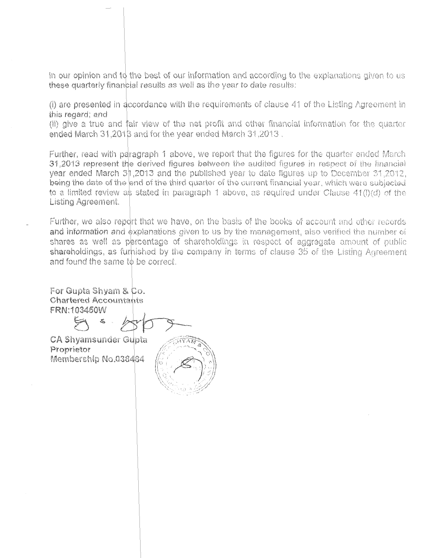In our opinion and to the best of our information and according to the explanations given to us these quarterly financial results as well as the year to date results:

 $(i)$  are presented in accordance with the requirements of clause 41 of the Listing Agreement in this regard; and

(ii) give a true and fair view of the net profit and other financial information for the quarter ended March 31,2018 and for the year ended March 31,2013.

Further, read with paragraph 1 above, we report that the figures for the quarter ended March -<br>31 <mark>,2013 read with paragraph 1 abov</mark>e, we report that the figures for the quarter ended March<br>31,2013 represent the derived figures between the audited figures in respect of the financial year ended March 31,2013 and the published year to date figures up to December 31,2012, being the date of the end of the third quarter of the current financial year, which were subjected to a limited review as stated in paragraph 1 above, as required under Clause 41(1)(d) of the Listing Agreernent.

Further, we also report that we have, on the basis of the books of account and other records and information and explanations given to us by the management, also verified the number of shares as well as percentage of shareholdings in respect of aggregate amount of public shareholdings, as furhished by the company in terms of clause 35 of the Listing Agreement and found the same to be correct.

> $\circ$  ) is a set  $\ell$  -fixed  $\ell$ \~-;~ ... '--. ./- ,,~~;:: "\'-~·~/-., .. ~·-...-,..co\_:.:.:  $\mathbb{R} \subseteq \mathbb{R}^n \times \mathbb{R}^n$

For Gupta Shyam & Co. **Chartered Accountants** FRN:103450W

 $-$ 

 $B = \frac{1}{2}$ CA Shyamsunder Gupta

Proprietor  $\frac{1}{\sqrt{2}}$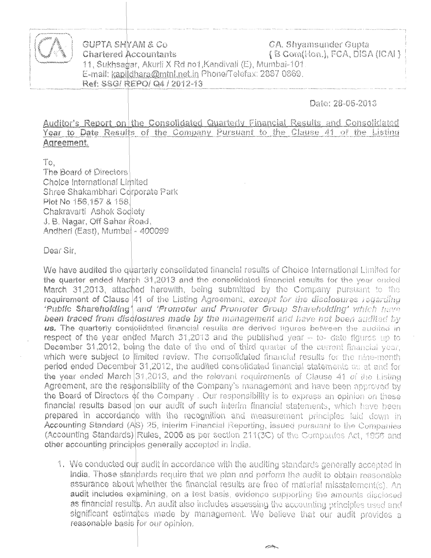

GUPTA SHYAM & CO CA, Shyamsunder Gupta { B Com(Hon.), FCA, DISA (ICAI } **Chartered Accountants** 11, Sukhsagar, Akurli X Rd no1, Kandivali (E), Mumbai-101. E-mail: kapildhara@mtnl.net.in Phone/Telefax: 2887 0869. Ref: SSG/ REPO/ Q4 / 2012-13

### Date: 28-05-2013

Auditor's Report on the Consolidated Quarterly Financial Results and Consolidated Year to Date Results of the Company Pursuant to the Clause 41 of the Listing Agreement.

Τō, The Board of Directors Choice International Limited Shree Shakambhari Corporate Park Plot No 156,157 & 158. Chakravarti Ashok Sodiety J. B. Nagar, Off Sahar Road, Andheri (East), Mumbal - 400099

Dear Sir,

We have audited the quarterly consolidated financial results of Choice International Limited for the quarter ended March 31,2013 and the consolidated financial results for the year ended March 31,2013, attached herewith, being submitted by the Company pursuant to the requirement of Clause  $|41\>$  of the Listing Agreement, except for the disclosures regarding 'Public Shareholding' and 'Promoter and Promoter Group Shareholding' which have been traced from disclosures made by the management and have not been audited by us. The quarterly consolidated financial results are derived figures between the audited in respect of the year ended March 31,2013 and the published year  $\sim$  to- date figures up to December 31,2012, being the date of the end of third quarter of the current financial year, which were subject to limited review. The consolidated financial results for the nine-month period ended December 31,2012, the audited consolidated financial statements as at and for the year ended March 31,2013, and the relevant requirements of Clause 41 of the Listing Agreement, are the responsibility of the Company's management and have been approved by the Board of Directors of the Company . Our responsibility is to express an opinion on these financial results based on our audit of such interim financial statements, which have been prepared in accordance with the recognition and measurement principles laid down in Accounting Standard (AS) 25, Interim Financial Reporting, issued pursuant to the Companies (Accounting Standards) Rules, 2006 as per section 211(3C) of the Companies Act, 1956 and other accounting principles generally accepted in India.

1. We conducted our audit in accordance with the auditing standards generally accepted in India. Those standards require that we plan and perform the audit to obtain reasonable assurance about whether the financial results are free of material misstatement(s). An audit includes examining, on a test basis, evidence supporting the amounts disclosed as financial results. An audit also includes assessing the accounting principles used and significant estimates made by management. We believe that our audit provides a reasonable basis for our opinion.

 $\overline{\phantom{a}}$